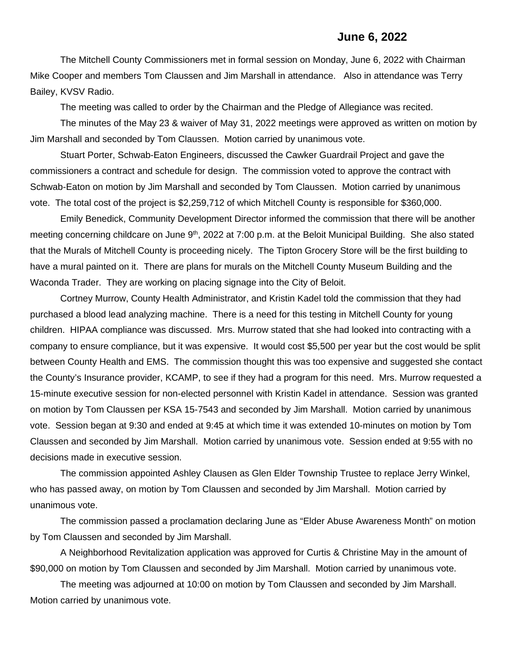## **June 6, 2022**

The Mitchell County Commissioners met in formal session on Monday, June 6, 2022 with Chairman Mike Cooper and members Tom Claussen and Jim Marshall in attendance. Also in attendance was Terry Bailey, KVSV Radio.

The meeting was called to order by the Chairman and the Pledge of Allegiance was recited.

The minutes of the May 23 & waiver of May 31, 2022 meetings were approved as written on motion by Jim Marshall and seconded by Tom Claussen. Motion carried by unanimous vote.

Stuart Porter, Schwab-Eaton Engineers, discussed the Cawker Guardrail Project and gave the commissioners a contract and schedule for design. The commission voted to approve the contract with Schwab-Eaton on motion by Jim Marshall and seconded by Tom Claussen. Motion carried by unanimous vote. The total cost of the project is \$2,259,712 of which Mitchell County is responsible for \$360,000.

Emily Benedick, Community Development Director informed the commission that there will be another meeting concerning childcare on June 9<sup>th</sup>, 2022 at 7:00 p.m. at the Beloit Municipal Building. She also stated that the Murals of Mitchell County is proceeding nicely. The Tipton Grocery Store will be the first building to have a mural painted on it. There are plans for murals on the Mitchell County Museum Building and the Waconda Trader. They are working on placing signage into the City of Beloit.

Cortney Murrow, County Health Administrator, and Kristin Kadel told the commission that they had purchased a blood lead analyzing machine. There is a need for this testing in Mitchell County for young children. HIPAA compliance was discussed. Mrs. Murrow stated that she had looked into contracting with a company to ensure compliance, but it was expensive. It would cost \$5,500 per year but the cost would be split between County Health and EMS. The commission thought this was too expensive and suggested she contact the County's Insurance provider, KCAMP, to see if they had a program for this need. Mrs. Murrow requested a 15-minute executive session for non-elected personnel with Kristin Kadel in attendance. Session was granted on motion by Tom Claussen per KSA 15-7543 and seconded by Jim Marshall. Motion carried by unanimous vote. Session began at 9:30 and ended at 9:45 at which time it was extended 10-minutes on motion by Tom Claussen and seconded by Jim Marshall. Motion carried by unanimous vote. Session ended at 9:55 with no decisions made in executive session.

The commission appointed Ashley Clausen as Glen Elder Township Trustee to replace Jerry Winkel, who has passed away, on motion by Tom Claussen and seconded by Jim Marshall. Motion carried by unanimous vote.

The commission passed a proclamation declaring June as "Elder Abuse Awareness Month" on motion by Tom Claussen and seconded by Jim Marshall.

A Neighborhood Revitalization application was approved for Curtis & Christine May in the amount of \$90,000 on motion by Tom Claussen and seconded by Jim Marshall. Motion carried by unanimous vote.

The meeting was adjourned at 10:00 on motion by Tom Claussen and seconded by Jim Marshall. Motion carried by unanimous vote.